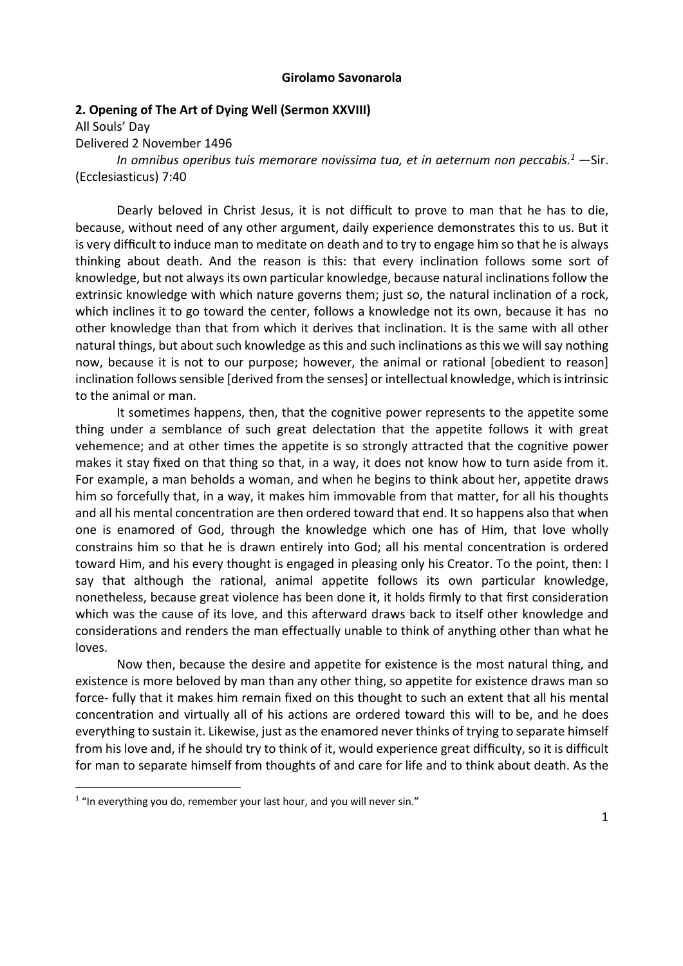## **Girolamo Savonarola**

## **2. Opening of The Art of Dying Well (Sermon XXVIII)**

All Souls' Day

Delivered 2 November 1496

*In omnibus operibus tuis memorare novissima tua, et in aeternum non peccabis. <sup>1</sup>* —Sir. (Ecclesiasticus) 7:40

Dearly beloved in Christ Jesus, it is not difficult to prove to man that he has to die, because, without need of any other argument, daily experience demonstrates this to us. But it is very difficult to induce man to meditate on death and to try to engage him so that he is always thinking about death. And the reason is this: that every inclination follows some sort of knowledge, but not always its own particular knowledge, because natural inclinations follow the extrinsic knowledge with which nature governs them; just so, the natural inclination of a rock, which inclines it to go toward the center, follows a knowledge not its own, because it has no other knowledge than that from which it derives that inclination. It is the same with all other natural things, but about such knowledge as this and such inclinations as this we will say nothing now, because it is not to our purpose; however, the animal or rational [obedient to reason] inclination follows sensible [derived from the senses] or intellectual knowledge, which is intrinsic to the animal or man.

It sometimes happens, then, that the cognitive power represents to the appetite some thing under a semblance of such great delectation that the appetite follows it with great vehemence; and at other times the appetite is so strongly attracted that the cognitive power makes it stay fixed on that thing so that, in a way, it does not know how to turn aside from it. For example, a man beholds a woman, and when he begins to think about her, appetite draws him so forcefully that, in a way, it makes him immovable from that matter, for all his thoughts and all his mental concentration are then ordered toward that end. It so happens also that when one is enamored of God, through the knowledge which one has of Him, that love wholly constrains him so that he is drawn entirely into God; all his mental concentration is ordered toward Him, and his every thought is engaged in pleasing only his Creator. To the point, then: I say that although the rational, animal appetite follows its own particular knowledge, nonetheless, because great violence has been done it, it holds firmly to that first consideration which was the cause of its love, and this afterward draws back to itself other knowledge and considerations and renders the man effectually unable to think of anything other than what he loves.

Now then, because the desire and appetite for existence is the most natural thing, and existence is more beloved by man than any other thing, so appetite for existence draws man so force- fully that it makes him remain fixed on this thought to such an extent that all his mental concentration and virtually all of his actions are ordered toward this will to be, and he does everything to sustain it. Likewise, just as the enamored never thinks of trying to separate himself from his love and, if he should try to think of it, would experience great difficulty, so it is difficult for man to separate himself from thoughts of and care for life and to think about death. As the

<sup>&</sup>lt;sup>1</sup> "In everything you do, remember your last hour, and you will never sin."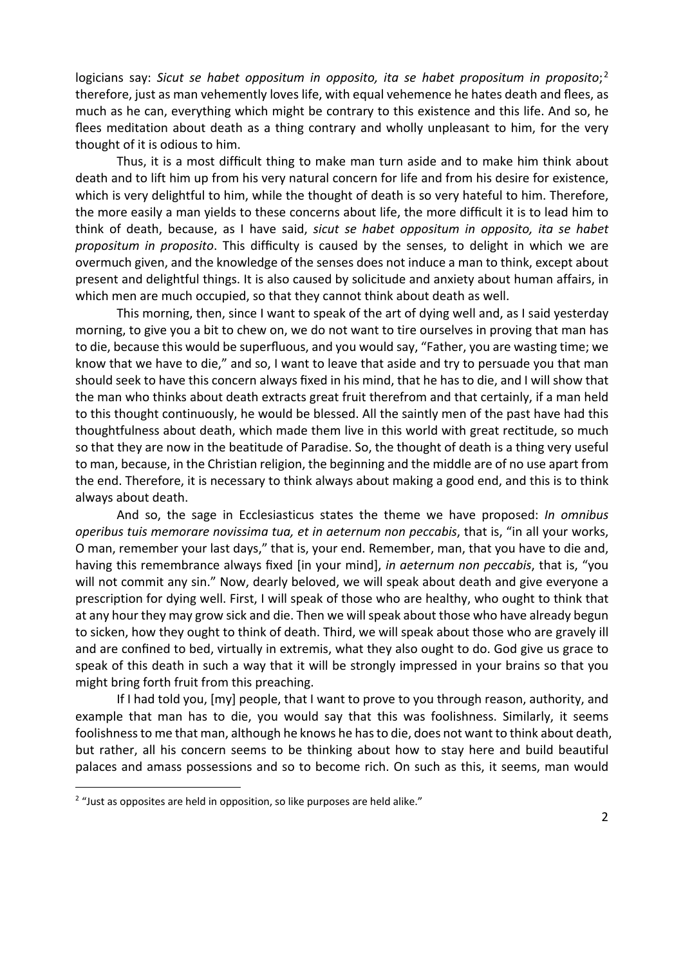logicians say: *Sicut se habet oppositum in opposito, ita se habet propositum in proposito*;<sup>2</sup> therefore, just as man vehemently loves life, with equal vehemence he hates death and flees, as much as he can, everything which might be contrary to this existence and this life. And so, he flees meditation about death as a thing contrary and wholly unpleasant to him, for the very thought of it is odious to him.

Thus, it is a most difficult thing to make man turn aside and to make him think about death and to lift him up from his very natural concern for life and from his desire for existence, which is very delightful to him, while the thought of death is so very hateful to him. Therefore, the more easily a man yields to these concerns about life, the more difficult it is to lead him to think of death, because, as I have said, *sicut se habet oppositum in opposito, ita se habet propositum in proposito*. This difficulty is caused by the senses, to delight in which we are overmuch given, and the knowledge of the senses does not induce a man to think, except about present and delightful things. It is also caused by solicitude and anxiety about human affairs, in which men are much occupied, so that they cannot think about death as well.

This morning, then, since I want to speak of the art of dying well and, as I said yesterday morning, to give you a bit to chew on, we do not want to tire ourselves in proving that man has to die, because this would be superfluous, and you would say, "Father, you are wasting time; we know that we have to die," and so, I want to leave that aside and try to persuade you that man should seek to have this concern always fixed in his mind, that he has to die, and I will show that the man who thinks about death extracts great fruit therefrom and that certainly, if a man held to this thought continuously, he would be blessed. All the saintly men of the past have had this thoughtfulness about death, which made them live in this world with great rectitude, so much so that they are now in the beatitude of Paradise. So, the thought of death is a thing very useful to man, because, in the Christian religion, the beginning and the middle are of no use apart from the end. Therefore, it is necessary to think always about making a good end, and this is to think always about death.

And so, the sage in Ecclesiasticus states the theme we have proposed: *In omnibus operibus tuis memorare novissima tua, et in aeternum non peccabis*, that is, "in all your works, O man, remember your last days," that is, your end. Remember, man, that you have to die and, having this remembrance always fixed [in your mind], *in aeternum non peccabis*, that is, "you will not commit any sin." Now, dearly beloved, we will speak about death and give everyone a prescription for dying well. First, I will speak of those who are healthy, who ought to think that at any hour they may grow sick and die. Then we will speak about those who have already begun to sicken, how they ought to think of death. Third, we will speak about those who are gravely ill and are confined to bed, virtually in extremis, what they also ought to do. God give us grace to speak of this death in such a way that it will be strongly impressed in your brains so that you might bring forth fruit from this preaching.

If I had told you, [my] people, that I want to prove to you through reason, authority, and example that man has to die, you would say that this was foolishness. Similarly, it seems foolishness to me that man, although he knows he has to die, does not want to think about death, but rather, all his concern seems to be thinking about how to stay here and build beautiful palaces and amass possessions and so to become rich. On such as this, it seems, man would

 $2$  "Just as opposites are held in opposition, so like purposes are held alike."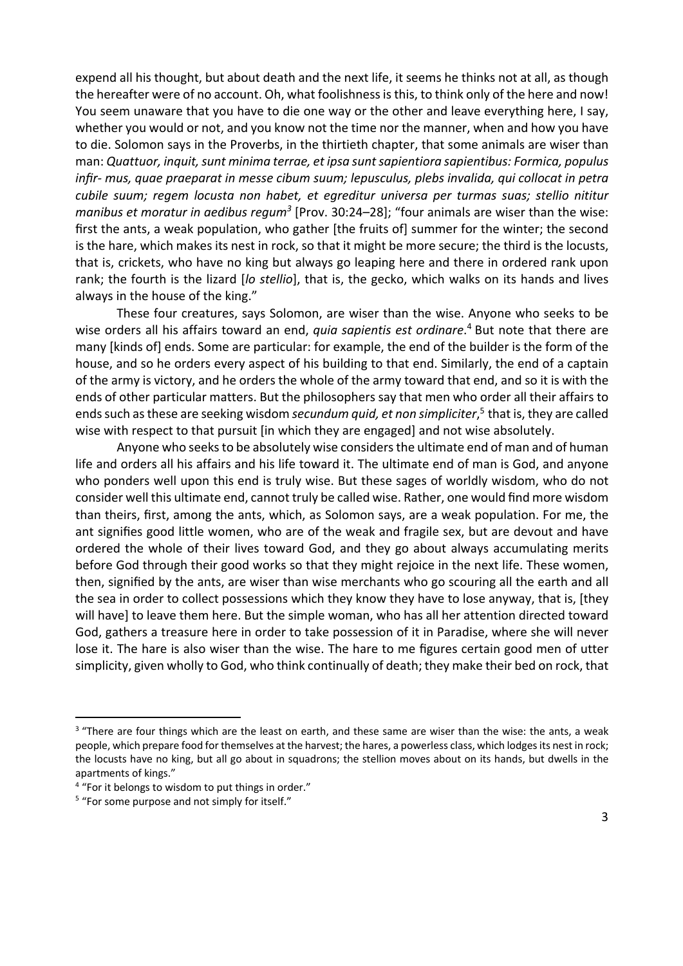expend all his thought, but about death and the next life, it seems he thinks not at all, as though the hereafter were of no account. Oh, what foolishness is this, to think only of the here and now! You seem unaware that you have to die one way or the other and leave everything here, I say, whether you would or not, and you know not the time nor the manner, when and how you have to die. Solomon says in the Proverbs, in the thirtieth chapter, that some animals are wiser than man: *Quattuor, inquit, sunt minima terrae, et ipsa sunt sapientiora sapientibus: Formica, populus infir- mus, quae praeparat in messe cibum suum; lepusculus, plebs invalida, qui collocat in petra cubile suum; regem locusta non habet, et egreditur universa per turmas suas; stellio nititur manibus et moratur in aedibus regum3* [Prov. 30:24–28]; "four animals are wiser than the wise: first the ants, a weak population, who gather [the fruits of] summer for the winter; the second is the hare, which makes its nest in rock, so that it might be more secure; the third is the locusts, that is, crickets, who have no king but always go leaping here and there in ordered rank upon rank; the fourth is the lizard [*lo stellio*], that is, the gecko, which walks on its hands and lives always in the house of the king."

These four creatures, says Solomon, are wiser than the wise. Anyone who seeks to be wise orders all his affairs toward an end, *quia sapientis est ordinare*. <sup>4</sup> But note that there are many [kinds of] ends. Some are particular: for example, the end of the builder is the form of the house, and so he orders every aspect of his building to that end. Similarly, the end of a captain of the army is victory, and he orders the whole of the army toward that end, and so it is with the ends of other particular matters. But the philosophers say that men who order all their affairs to ends such as these are seeking wisdom *secundum quid, et non simpliciter*, <sup>5</sup> that is, they are called wise with respect to that pursuit [in which they are engaged] and not wise absolutely.

Anyone who seeks to be absolutely wise considers the ultimate end of man and of human life and orders all his affairs and his life toward it. The ultimate end of man is God, and anyone who ponders well upon this end is truly wise. But these sages of worldly wisdom, who do not consider well this ultimate end, cannot truly be called wise. Rather, one would find more wisdom than theirs, first, among the ants, which, as Solomon says, are a weak population. For me, the ant signifies good little women, who are of the weak and fragile sex, but are devout and have ordered the whole of their lives toward God, and they go about always accumulating merits before God through their good works so that they might rejoice in the next life. These women, then, signified by the ants, are wiser than wise merchants who go scouring all the earth and all the sea in order to collect possessions which they know they have to lose anyway, that is, [they will have] to leave them here. But the simple woman, who has all her attention directed toward God, gathers a treasure here in order to take possession of it in Paradise, where she will never lose it. The hare is also wiser than the wise. The hare to me figures certain good men of utter simplicity, given wholly to God, who think continually of death; they make their bed on rock, that

<sup>&</sup>lt;sup>3</sup> "There are four things which are the least on earth, and these same are wiser than the wise: the ants, a weak people, which prepare food for themselves at the harvest; the hares, a powerless class, which lodges its nest in rock; the locusts have no king, but all go about in squadrons; the stellion moves about on its hands, but dwells in the apartments of kings."

<sup>4</sup> "For it belongs to wisdom to put things in order."

<sup>&</sup>lt;sup>5</sup> "For some purpose and not simply for itself."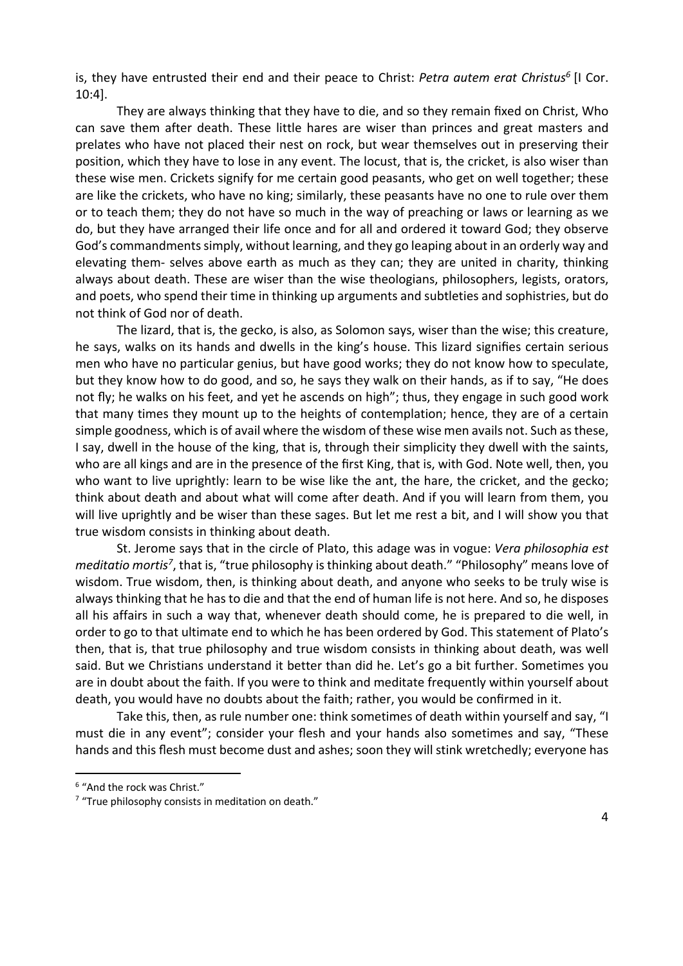is, they have entrusted their end and their peace to Christ: *Petra autem erat Christus6* [I Cor. 10:4].

They are always thinking that they have to die, and so they remain fixed on Christ, Who can save them after death. These little hares are wiser than princes and great masters and prelates who have not placed their nest on rock, but wear themselves out in preserving their position, which they have to lose in any event. The locust, that is, the cricket, is also wiser than these wise men. Crickets signify for me certain good peasants, who get on well together; these are like the crickets, who have no king; similarly, these peasants have no one to rule over them or to teach them; they do not have so much in the way of preaching or laws or learning as we do, but they have arranged their life once and for all and ordered it toward God; they observe God's commandments simply, without learning, and they go leaping about in an orderly way and elevating them- selves above earth as much as they can; they are united in charity, thinking always about death. These are wiser than the wise theologians, philosophers, legists, orators, and poets, who spend their time in thinking up arguments and subtleties and sophistries, but do not think of God nor of death.

The lizard, that is, the gecko, is also, as Solomon says, wiser than the wise; this creature, he says, walks on its hands and dwells in the king's house. This lizard signifies certain serious men who have no particular genius, but have good works; they do not know how to speculate, but they know how to do good, and so, he says they walk on their hands, as if to say, "He does not fly; he walks on his feet, and yet he ascends on high"; thus, they engage in such good work that many times they mount up to the heights of contemplation; hence, they are of a certain simple goodness, which is of avail where the wisdom of these wise men avails not. Such as these, I say, dwell in the house of the king, that is, through their simplicity they dwell with the saints, who are all kings and are in the presence of the first King, that is, with God. Note well, then, you who want to live uprightly: learn to be wise like the ant, the hare, the cricket, and the gecko; think about death and about what will come after death. And if you will learn from them, you will live uprightly and be wiser than these sages. But let me rest a bit, and I will show you that true wisdom consists in thinking about death.

St. Jerome says that in the circle of Plato, this adage was in vogue: *Vera philosophia est meditatio mortis7*, that is, "true philosophy is thinking about death." "Philosophy" means love of wisdom. True wisdom, then, is thinking about death, and anyone who seeks to be truly wise is always thinking that he has to die and that the end of human life is not here. And so, he disposes all his affairs in such a way that, whenever death should come, he is prepared to die well, in order to go to that ultimate end to which he has been ordered by God. This statement of Plato's then, that is, that true philosophy and true wisdom consists in thinking about death, was well said. But we Christians understand it better than did he. Let's go a bit further. Sometimes you are in doubt about the faith. If you were to think and meditate frequently within yourself about death, you would have no doubts about the faith; rather, you would be confirmed in it.

Take this, then, as rule number one: think sometimes of death within yourself and say, "I must die in any event"; consider your flesh and your hands also sometimes and say, "These hands and this flesh must become dust and ashes; soon they will stink wretchedly; everyone has

<sup>6</sup> "And the rock was Christ."

<sup>7</sup> "True philosophy consists in meditation on death."